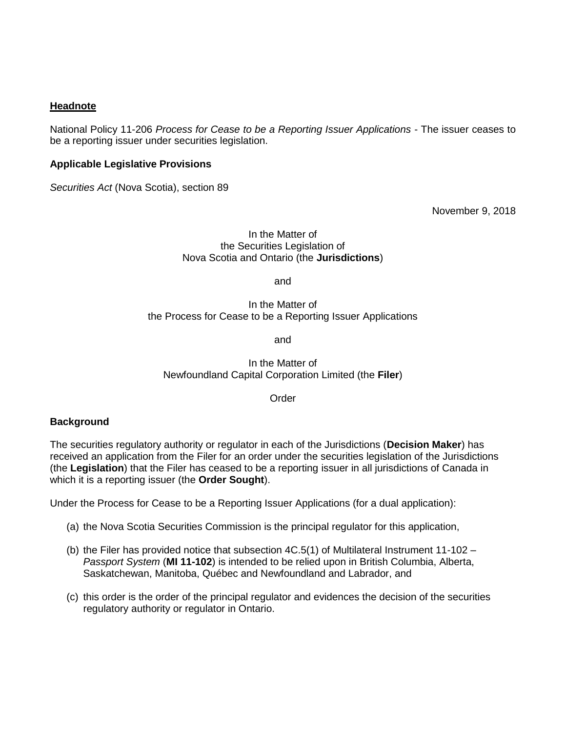# **Headnote**

National Policy 11-206 *Process for Cease to be a Reporting Issuer Applications* - The issuer ceases to be a reporting issuer under securities legislation.

### **Applicable Legislative Provisions**

*Securities Act* (Nova Scotia), section 89

November 9, 2018

#### In the Matter of the Securities Legislation of Nova Scotia and Ontario (the **Jurisdictions**)

and

In the Matter of the Process for Cease to be a Reporting Issuer Applications

and

In the Matter of Newfoundland Capital Corporation Limited (the **Filer**)

**Order** 

## **Background**

The securities regulatory authority or regulator in each of the Jurisdictions (**Decision Maker**) has received an application from the Filer for an order under the securities legislation of the Jurisdictions (the **Legislation**) that the Filer has ceased to be a reporting issuer in all jurisdictions of Canada in which it is a reporting issuer (the **Order Sought**).

Under the Process for Cease to be a Reporting Issuer Applications (for a dual application):

- (a) the Nova Scotia Securities Commission is the principal regulator for this application,
- (b) the Filer has provided notice that subsection  $4C.5(1)$  of Multilateral Instrument 11-102 *Passport System* (**MI 11-102**) is intended to be relied upon in British Columbia, Alberta, Saskatchewan, Manitoba, Québec and Newfoundland and Labrador, and
- (c) this order is the order of the principal regulator and evidences the decision of the securities regulatory authority or regulator in Ontario.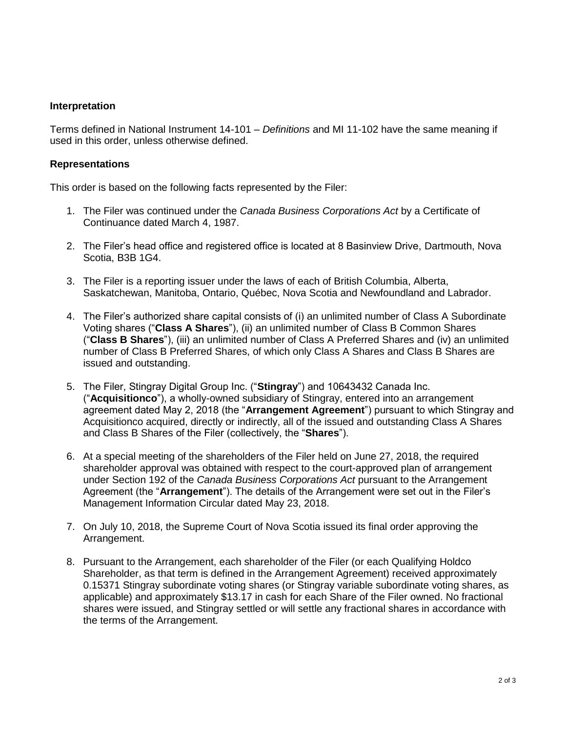### **Interpretation**

Terms defined in National Instrument 14-101 – *Definitions* and MI 11-102 have the same meaning if used in this order, unless otherwise defined.

### **Representations**

This order is based on the following facts represented by the Filer:

- 1. The Filer was continued under the *Canada Business Corporations Act* by a Certificate of Continuance dated March 4, 1987.
- 2. The Filer's head office and registered office is located at 8 Basinview Drive, Dartmouth, Nova Scotia, B3B 1G4.
- 3. The Filer is a reporting issuer under the laws of each of British Columbia, Alberta, Saskatchewan, Manitoba, Ontario, Québec, Nova Scotia and Newfoundland and Labrador.
- 4. The Filer's authorized share capital consists of (i) an unlimited number of Class A Subordinate Voting shares ("**Class A Shares**"), (ii) an unlimited number of Class B Common Shares ("**Class B Shares**"), (iii) an unlimited number of Class A Preferred Shares and (iv) an unlimited number of Class B Preferred Shares, of which only Class A Shares and Class B Shares are issued and outstanding.
- 5. The Filer, Stingray Digital Group Inc. ("**Stingray**") and 10643432 Canada Inc. ("**Acquisitionco**"), a wholly-owned subsidiary of Stingray, entered into an arrangement agreement dated May 2, 2018 (the "**Arrangement Agreement**") pursuant to which Stingray and Acquisitionco acquired, directly or indirectly, all of the issued and outstanding Class A Shares and Class B Shares of the Filer (collectively, the "**Shares**").
- 6. At a special meeting of the shareholders of the Filer held on June 27, 2018, the required shareholder approval was obtained with respect to the court-approved plan of arrangement under Section 192 of the *Canada Business Corporations Act* pursuant to the Arrangement Agreement (the "**Arrangement**"). The details of the Arrangement were set out in the Filer's Management Information Circular dated May 23, 2018.
- 7. On July 10, 2018, the Supreme Court of Nova Scotia issued its final order approving the Arrangement.
- 8. Pursuant to the Arrangement, each shareholder of the Filer (or each Qualifying Holdco Shareholder, as that term is defined in the Arrangement Agreement) received approximately 0.15371 Stingray subordinate voting shares (or Stingray variable subordinate voting shares, as applicable) and approximately \$13.17 in cash for each Share of the Filer owned. No fractional shares were issued, and Stingray settled or will settle any fractional shares in accordance with the terms of the Arrangement.